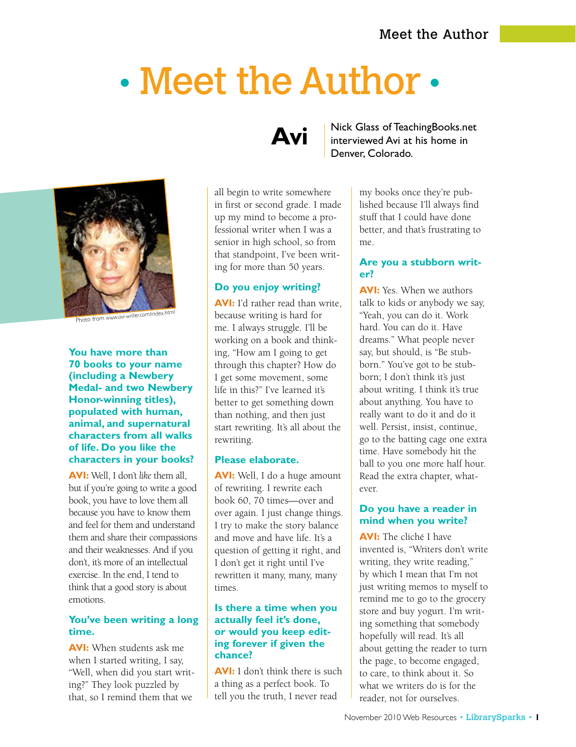# • Meet the Author •



Photo from *www.avi-writer.com/index.htm<sup>l</sup>*

**You have more than 70 books to your name (including a Newbery Medal- and two Newbery Honor-winning titles), populated with human, animal, and supernatural characters from all walks of life. Do you like the characters in your books?** 

**AVI:** Well, I don't *like* them all, but if you're going to write a good book, you have to love them all because you have to know them and feel for them and understand them and share their compassions and their weaknesses. And if you don't, it's more of an intellectual exercise. In the end, I tend to think that a good story is about emotions.

#### **You've been writing a long time.**

**AVI:** When students ask me when I started writing, I say, "Well, when did you start writing?" They look puzzled by that, so I remind them that we

# **Avi**

all begin to write somewhere in first or second grade. I made up my mind to become a professional writer when I was a senior in high school, so from that standpoint, I've been writing for more than 50 years.

#### **Do you enjoy writing?**

**AVI:** I'd rather read than write, because writing is hard for me. I always struggle. I'll be working on a book and thinking, "How am I going to get through this chapter? How do I get some movement, some life in this?" I've learned it's better to get something down than nothing, and then just start rewriting. It's all about the rewriting.

#### **Please elaborate.**

**AVI:** Well, I do a huge amount of rewriting. I rewrite each book 60, 70 times—over and over again. I just change things. I try to make the story balance and move and have life. It's a question of getting it right, and I don't get it right until I've rewritten it many, many, many times.

#### **Is there a time when you actually feel it's done, or would you keep editing forever if given the chance?**

**AVI:** I don't think there is such a thing as a perfect book. To tell you the truth, I never read

Nick Glass of TeachingBooks.net interviewed Avi at his home in Denver, Colorado.

> my books once they're published because I'll always find stuff that I could have done better, and that's frustrating to me.

#### **Are you a stubborn writer?**

**AVI:** Yes. When we authors talk to kids or anybody we say, "Yeah, you can do it. Work hard. You can do it. Have dreams." What people never say, but should, is "Be stubborn." You've got to be stubborn; I don't think it's just about writing. I think it's true about anything. You have to really want to do it and do it well. Persist, insist, continue, go to the batting cage one extra time. Have somebody hit the ball to you one more half hour. Read the extra chapter, whatever.

#### **Do you have a reader in mind when you write?**

**AVI:** The cliché I have invented is, "Writers don't write writing, they write reading," by which I mean that I'm not just writing memos to myself to remind me to go to the grocery store and buy yogurt. I'm writing something that somebody hopefully will read. It's all about getting the reader to turn the page, to become engaged, to care, to think about it. So what we writers do is for the reader, not for ourselves.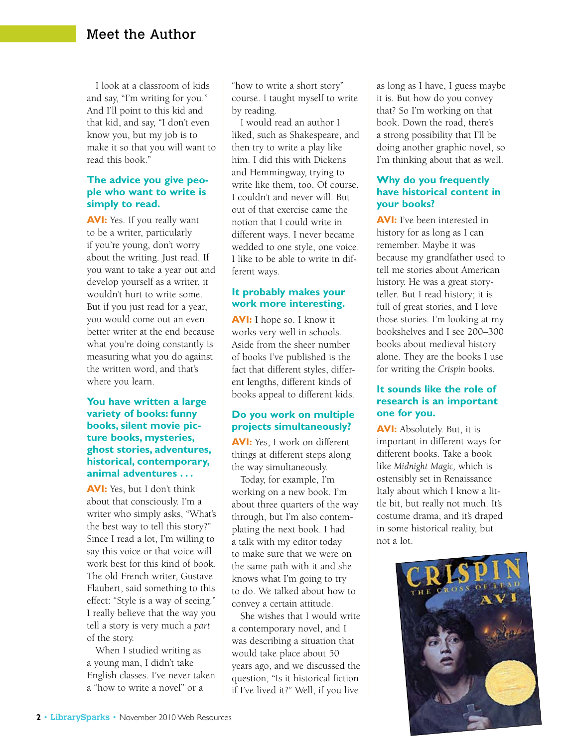I look at a classroom of kids and say, "I'm writing for you." And I'll point to this kid and that kid, and say, "I don't even know you, but my job is to make it so that you will want to read this book."

#### **The advice you give people who want to write is simply to read.**

**AVI:** Yes. If you really want to be a writer, particularly if you're young, don't worry about the writing. Just read. If you want to take a year out and develop yourself as a writer, it wouldn't hurt to write some. But if you just read for a year, you would come out an even better writer at the end because what you're doing constantly is measuring what you do against the written word, and that's where you learn.

#### **You have written a large variety of books: funny books, silent movie picture books, mysteries, ghost stories, adventures, historical, contemporary, animal adventures . . .**

**AVI:** Yes, but I don't think about that consciously. I'm a writer who simply asks, "What's the best way to tell this story?" Since I read a lot, I'm willing to say this voice or that voice will work best for this kind of book. The old French writer, Gustave Flaubert, said something to this effect: "Style is a way of seeing." I really believe that the way you tell a story is very much a *part* of the story.

When I studied writing as a young man, I didn't take English classes. I've never taken a "how to write a novel" or a

"how to write a short story" course. I taught myself to write by reading.

I would read an author I liked, such as Shakespeare, and then try to write a play like him. I did this with Dickens and Hemmingway, trying to write like them, too. Of course, I couldn't and never will. But out of that exercise came the notion that I could write in different ways. I never became wedded to one style, one voice. I like to be able to write in different ways.

#### **It probably makes your work more interesting.**

**AVI:** I hope so. I know it works very well in schools. Aside from the sheer number of books I've published is the fact that different styles, different lengths, different kinds of books appeal to different kids.

#### **Do you work on multiple projects simultaneously?**

**AVI:** Yes, I work on different things at different steps along the way simultaneously.

Today, for example, I'm working on a new book. I'm about three quarters of the way through, but I'm also contemplating the next book. I had a talk with my editor today to make sure that we were on the same path with it and she knows what I'm going to try to do. We talked about how to convey a certain attitude.

She wishes that I would write a contemporary novel, and I was describing a situation that would take place about 50 years ago, and we discussed the question, "Is it historical fiction if I've lived it?" Well, if you live

as long as I have, I guess maybe it is. But how do you convey that? So I'm working on that book. Down the road, there's a strong possibility that I'll be doing another graphic novel, so I'm thinking about that as well.

#### **Why do you frequently have historical content in your books?**

**AVI:** I've been interested in history for as long as I can remember. Maybe it was because my grandfather used to tell me stories about American history. He was a great storyteller. But I read history; it is full of great stories, and I love those stories. I'm looking at my bookshelves and I see 200–300 books about medieval history alone. They are the books I use for writing the *Crispin* books.

#### **It sounds like the role of research is an important one for you.**

**AVI:** Absolutely. But, it is important in different ways for different books. Take a book like *Midnight Magic,* which is ostensibly set in Renaissance Italy about which I know a little bit, but really not much. It's costume drama, and it's draped in some historical reality, but not a lot.

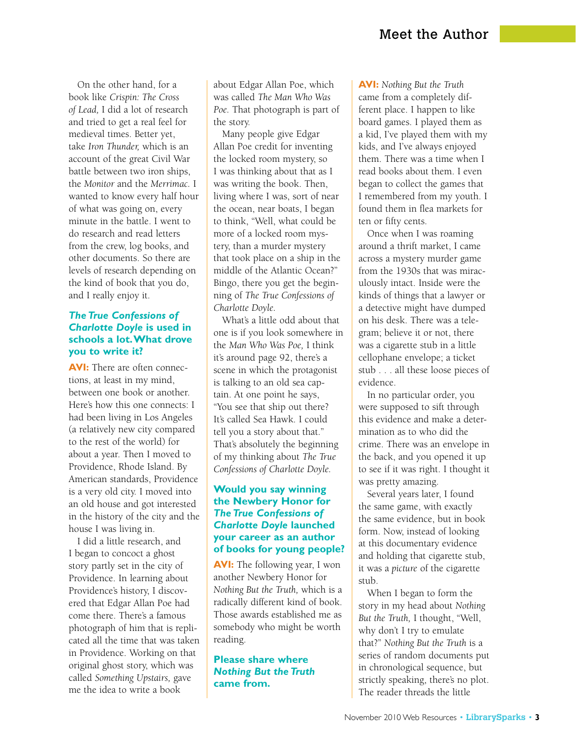On the other hand, for a book like *Crispin: The Cross of Lead,* I did a lot of research and tried to get a real feel for medieval times. Better yet, take *Iron Thunder,* which is an account of the great Civil War battle between two iron ships, the *Monitor* and the *Merrimac.* I wanted to know every half hour of what was going on, every minute in the battle. I went to do research and read letters from the crew, log books, and other documents. So there are levels of research depending on the kind of book that you do, and I really enjoy it.

#### *The True Confessions of Charlotte Doyle* **is used in schools a lot. What drove you to write it?**

**AVI:** There are often connections, at least in my mind, between one book or another. Here's how this one connects: I had been living in Los Angeles (a relatively new city compared to the rest of the world) for about a year. Then I moved to Providence, Rhode Island. By American standards, Providence is a very old city. I moved into an old house and got interested in the history of the city and the house I was living in.

I did a little research, and I began to concoct a ghost story partly set in the city of Providence. In learning about Providence's history, I discovered that Edgar Allan Poe had come there. There's a famous photograph of him that is replicated all the time that was taken in Providence. Working on that original ghost story, which was called *Something Upstairs,* gave me the idea to write a book

about Edgar Allan Poe, which was called *The Man Who Was Poe.* That photograph is part of the story.

Many people give Edgar Allan Poe credit for inventing the locked room mystery, so I was thinking about that as I was writing the book. Then, living where I was, sort of near the ocean, near boats, I began to think, "Well, what could be more of a locked room mystery, than a murder mystery that took place on a ship in the middle of the Atlantic Ocean?" Bingo, there you get the beginning of *The True Confessions of Charlotte Doyle.*

What's a little odd about that one is if you look somewhere in the *Man Who Was Poe,* I think it's around page 92, there's a scene in which the protagonist is talking to an old sea captain. At one point he says, "You see that ship out there? It's called Sea Hawk. I could tell you a story about that." That's absolutely the beginning of my thinking about *The True Confessions of Charlotte Doyle.* 

#### **Would you say winning the Newbery Honor for**  *The True Confessions of Charlotte Doyle* **launched your career as an author of books for young people?**

**AVI:** The following year, I won another Newbery Honor for *Nothing But the Truth,* which is a radically different kind of book. Those awards established me as somebody who might be worth reading.

#### **Please share where**  *Nothing But the Truth* **came from.**

**AVI:** *Nothing But the Truth* came from a completely different place. I happen to like board games. I played them as a kid, I've played them with my kids, and I've always enjoyed them. There was a time when I read books about them. I even began to collect the games that I remembered from my youth. I found them in flea markets for ten or fifty cents.

Once when I was roaming around a thrift market, I came across a mystery murder game from the 1930s that was miraculously intact. Inside were the kinds of things that a lawyer or a detective might have dumped on his desk. There was a telegram; believe it or not, there was a cigarette stub in a little cellophane envelope; a ticket stub . . . all these loose pieces of evidence.

In no particular order, you were supposed to sift through this evidence and make a determination as to who did the crime. There was an envelope in the back, and you opened it up to see if it was right. I thought it was pretty amazing.

Several years later, I found the same game, with exactly the same evidence, but in book form. Now, instead of looking at this documentary evidence and holding that cigarette stub, it was a *picture* of the cigarette stub.

When I began to form the story in my head about *Nothing But the Truth,* I thought, "Well, why don't I try to emulate that?" *Nothing But the Truth* is a series of random documents put in chronological sequence, but strictly speaking, there's no plot. The reader threads the little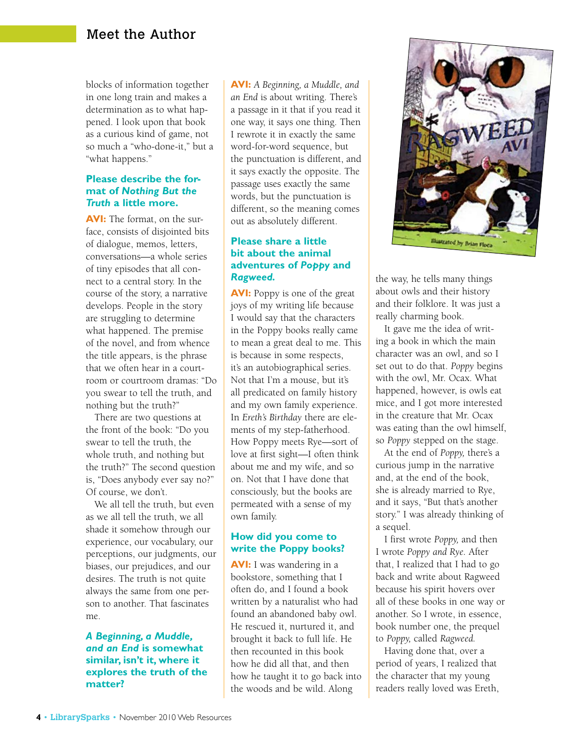## Meet the Author

blocks of information together in one long train and makes a determination as to what happened. I look upon that book as a curious kind of game, not so much a "who-done-it," but a "what happens."

#### **Please describe the format of** *Nothing But the Truth* **a little more.**

**AVI:** The format, on the surface, consists of disjointed bits of dialogue, memos, letters, conversations—a whole series of tiny episodes that all connect to a central story. In the course of the story, a narrative develops. People in the story are struggling to determine what happened. The premise of the novel, and from whence the title appears, is the phrase that we often hear in a courtroom or courtroom dramas: "Do you swear to tell the truth, and nothing but the truth?"

There are two questions at the front of the book: "Do you swear to tell the truth, the whole truth, and nothing but the truth?" The second question is, "Does anybody ever say no?" Of course, we don't.

We all tell the truth, but even as we all tell the truth, we all shade it somehow through our experience, our vocabulary, our perceptions, our judgments, our biases, our prejudices, and our desires. The truth is not quite always the same from one person to another. That fascinates me.

#### *A Beginning, a Muddle, and an End* **is somewhat similar, isn't it, where it explores the truth of the matter?**

**AVI:** *A Beginning, a Muddle, and an End* is about writing. There's a passage in it that if you read it one way, it says one thing. Then I rewrote it in exactly the same word-for-word sequence, but the punctuation is different, and it says exactly the opposite. The passage uses exactly the same words, but the punctuation is different, so the meaning comes out as absolutely different.

#### **Please share a little bit about the animal adventures of** *Poppy* **and**  *Ragweed.*

**AVI:** Poppy is one of the great joys of my writing life because I would say that the characters in the Poppy books really came to mean a great deal to me. This is because in some respects, it's an autobiographical series. Not that I'm a mouse, but it's all predicated on family history and my own family experience. In *Ereth's Birthday* there are elements of my step-fatherhood. How Poppy meets Rye—sort of love at first sight—I often think about me and my wife, and so on. Not that I have done that consciously, but the books are permeated with a sense of my own family.

#### **How did you come to write the Poppy books?**

**AVI:** I was wandering in a bookstore, something that I often do, and I found a book written by a naturalist who had found an abandoned baby owl. He rescued it, nurtured it, and brought it back to full life. He then recounted in this book how he did all that, and then how he taught it to go back into the woods and be wild. Along



the way, he tells many things about owls and their history and their folklore. It was just a really charming book.

It gave me the idea of writing a book in which the main character was an owl, and so I set out to do that. *Poppy* begins with the owl, Mr. Ocax. What happened, however, is owls eat mice, and I got more interested in the creature that Mr. Ocax was eating than the owl himself, so *Poppy* stepped on the stage.

At the end of *Poppy,* there's a curious jump in the narrative and, at the end of the book, she is already married to Rye, and it says, "But that's another story." I was already thinking of a sequel.

I first wrote *Poppy,* and then I wrote *Poppy and Rye.* After that, I realized that I had to go back and write about Ragweed because his spirit hovers over all of these books in one way or another. So I wrote, in essence, book number one, the prequel to *Poppy,* called *Ragweed.*

Having done that, over a period of years, I realized that the character that my young readers really loved was Ereth,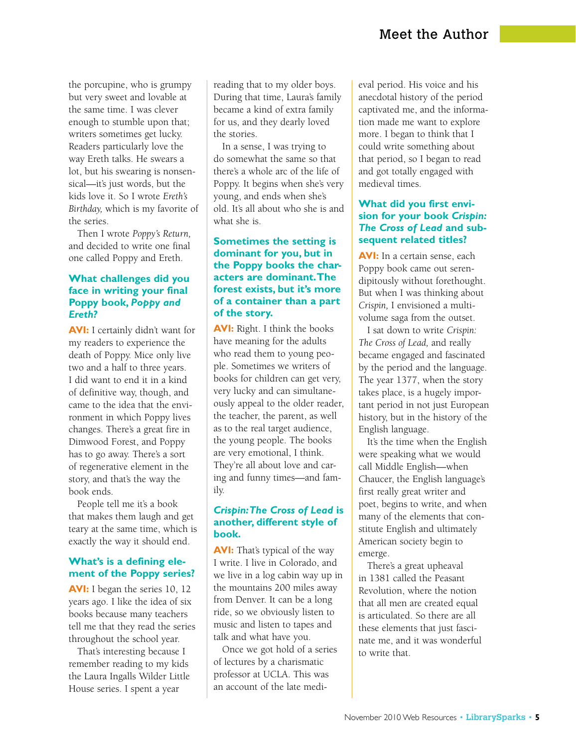the porcupine, who is grumpy but very sweet and lovable at the same time. I was clever enough to stumble upon that; writers sometimes get lucky. Readers particularly love the way Ereth talks. He swears a lot, but his swearing is nonsensical—it's just words, but the kids love it. So I wrote *Ereth's Birthday,* which is my favorite of the series.

Then I wrote *Poppy's Return,* and decided to write one final one called Poppy and Ereth.

#### **What challenges did you face in writing your final Poppy book,** *Poppy and Ereth?*

**AVI:** I certainly didn't want for my readers to experience the death of Poppy. Mice only live two and a half to three years. I did want to end it in a kind of definitive way, though, and came to the idea that the environment in which Poppy lives changes. There's a great fire in Dimwood Forest, and Poppy has to go away. There's a sort of regenerative element in the story, and that's the way the book ends.

People tell me it's a book that makes them laugh and get teary at the same time, which is exactly the way it should end.

#### **What's is a defining element of the Poppy series?**

**AVI:** I began the series 10, 12 years ago. I like the idea of six books because many teachers tell me that they read the series throughout the school year.

That's interesting because I remember reading to my kids the Laura Ingalls Wilder Little House series. I spent a year

reading that to my older boys. During that time, Laura's family became a kind of extra family for us, and they dearly loved the stories.

In a sense, I was trying to do somewhat the same so that there's a whole arc of the life of Poppy. It begins when she's very young, and ends when she's old. It's all about who she is and what she is.

#### **Sometimes the setting is dominant for you, but in the Poppy books the characters are dominant. The forest exists, but it's more of a container than a part of the story.**

**AVI:** Right. I think the books have meaning for the adults who read them to young people. Sometimes we writers of books for children can get very, very lucky and can simultaneously appeal to the older reader, the teacher, the parent, as well as to the real target audience, the young people. The books are very emotional, I think. They're all about love and caring and funny times—and family.

#### *Crispin: The Cross of Lead* **is another, different style of book.**

**AVI:** That's typical of the way I write. I live in Colorado, and we live in a log cabin way up in the mountains 200 miles away from Denver. It can be a long ride, so we obviously listen to music and listen to tapes and talk and what have you.

Once we got hold of a series of lectures by a charismatic professor at UCLA. This was an account of the late medieval period. His voice and his anecdotal history of the period captivated me, and the information made me want to explore more. I began to think that I could write something about that period, so I began to read and got totally engaged with medieval times.

#### **What did you first envision for your book** *Crispin: The Cross of Lead* **and subsequent related titles?**

**AVI:** In a certain sense, each Poppy book came out serendipitously without forethought. But when I was thinking about *Crispin,* I envisioned a multivolume saga from the outset.

I sat down to write *Crispin: The Cross of Lead,* and really became engaged and fascinated by the period and the language. The year 1377, when the story takes place, is a hugely important period in not just European history, but in the history of the English language.

It's the time when the English were speaking what we would call Middle English—when Chaucer, the English language's first really great writer and poet, begins to write, and when many of the elements that constitute English and ultimately American society begin to emerge.

There's a great upheaval in 1381 called the Peasant Revolution, where the notion that all men are created equal is articulated. So there are all these elements that just fascinate me, and it was wonderful to write that.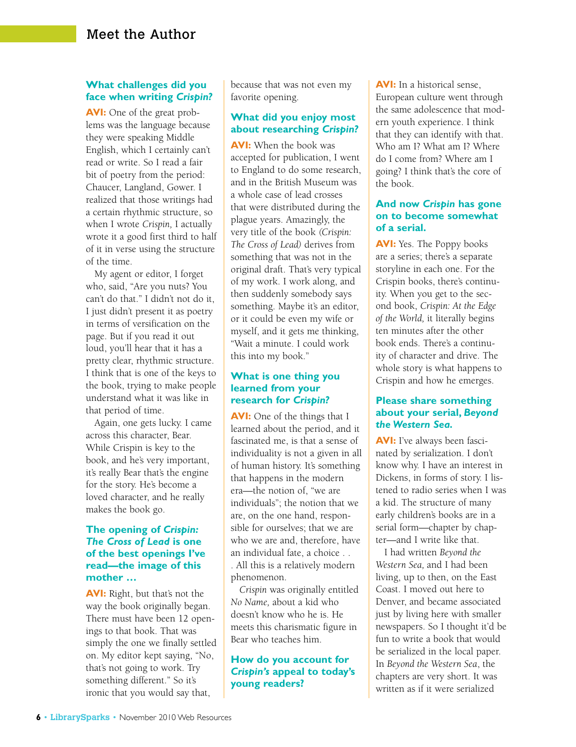#### **What challenges did you face when writing** *Crispin?*

**AVI:** One of the great problems was the language because they were speaking Middle English, which I certainly can't read or write. So I read a fair bit of poetry from the period: Chaucer, Langland, Gower. I realized that those writings had a certain rhythmic structure, so when I wrote *Crispin,* I actually wrote it a good first third to half of it in verse using the structure of the time.

My agent or editor, I forget who, said, "Are you nuts? You can't do that." I didn't not do it, I just didn't present it as poetry in terms of versification on the page. But if you read it out loud, you'll hear that it has a pretty clear, rhythmic structure. I think that is one of the keys to the book, trying to make people understand what it was like in that period of time.

Again, one gets lucky. I came across this character, Bear. While Crispin is key to the book, and he's very important, it's really Bear that's the engine for the story. He's become a loved character, and he really makes the book go.

#### **The opening of** *Crispin: The Cross of Lead* **is one of the best openings I've read—the image of this mother …**

**AVI:** Right, but that's not the way the book originally began. There must have been 12 openings to that book. That was simply the one we finally settled on. My editor kept saying, "No, that's not going to work. Try something different." So it's ironic that you would say that,

because that was not even my favorite opening.

#### **What did you enjoy most about researching** *Crispin?*

**AVI:** When the book was accepted for publication, I went to England to do some research, and in the British Museum was a whole case of lead crosses that were distributed during the plague years. Amazingly, the very title of the book *(Crispin: The Cross of Lead)* derives from something that was not in the original draft. That's very typical of my work. I work along, and then suddenly somebody says something. Maybe it's an editor, or it could be even my wife or myself, and it gets me thinking, "Wait a minute. I could work this into my book."

#### **What is one thing you learned from your research for** *Crispin?*

**AVI:** One of the things that I learned about the period, and it fascinated me, is that a sense of individuality is not a given in all of human history. It's something that happens in the modern era—the notion of, "we are individuals"; the notion that we are, on the one hand, responsible for ourselves; that we are who we are and, therefore, have an individual fate, a choice . . . All this is a relatively modern phenomenon.

*Crispin* was originally entitled *No Name,* about a kid who doesn't know who he is. He meets this charismatic figure in Bear who teaches him.

#### **How do you account for**  *Crispin's* **appeal to today's young readers?**

**AVI:** In a historical sense, European culture went through the same adolescence that modern youth experience. I think that they can identify with that. Who am I? What am I? Where do I come from? Where am I going? I think that's the core of the book.

#### **And now** *Crispin* **has gone on to become somewhat of a serial.**

**AVI:** Yes. The Poppy books are a series; there's a separate storyline in each one. For the Crispin books, there's continuity. When you get to the second book, *Crispin: At the Edge of the World,* it literally begins ten minutes after the other book ends. There's a continuity of character and drive. The whole story is what happens to Crispin and how he emerges.

#### **Please share something about your serial,** *Beyond the Western Sea.*

**AVI:** I've always been fascinated by serialization. I don't know why. I have an interest in Dickens, in forms of story. I listened to radio series when I was a kid. The structure of many early children's books are in a serial form—chapter by chapter—and I write like that.

I had written *Beyond the Western Sea,* and I had been living, up to then, on the East Coast. I moved out here to Denver, and became associated just by living here with smaller newspapers. So I thought it'd be fun to write a book that would be serialized in the local paper. In *Beyond the Western Sea*, the chapters are very short. It was written as if it were serialized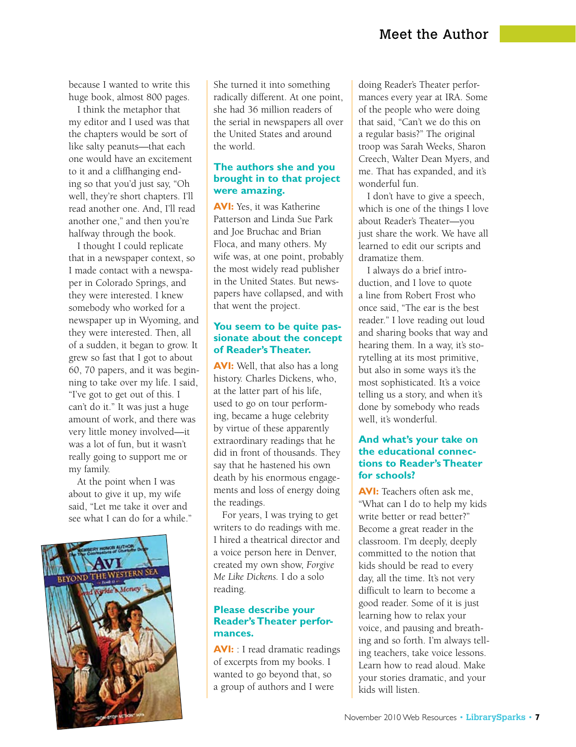because I wanted to write this huge book, almost 800 pages.

I think the metaphor that my editor and I used was that the chapters would be sort of like salty peanuts—that each one would have an excitement to it and a cliffhanging ending so that you'd just say, "Oh well, they're short chapters. I'll read another one. And, I'll read another one," and then you're halfway through the book.

I thought I could replicate that in a newspaper context, so I made contact with a newspaper in Colorado Springs, and they were interested. I knew somebody who worked for a newspaper up in Wyoming, and they were interested. Then, all of a sudden, it began to grow. It grew so fast that I got to about 60, 70 papers, and it was beginning to take over my life. I said, "I've got to get out of this. I can't do it." It was just a huge amount of work, and there was very little money involved—it was a lot of fun, but it wasn't really going to support me or my family.

At the point when I was about to give it up, my wife said, "Let me take it over and see what I can do for a while."



She turned it into something radically different. At one point, she had 36 million readers of the serial in newspapers all over the United States and around the world.

#### **The authors she and you brought in to that project were amazing.**

**AVI:** Yes, it was Katherine Patterson and Linda Sue Park and Joe Bruchac and Brian Floca, and many others. My wife was, at one point, probably the most widely read publisher in the United States. But newspapers have collapsed, and with that went the project.

#### **You seem to be quite passionate about the concept of Reader's Theater.**

**AVI:** Well, that also has a long history. Charles Dickens, who, at the latter part of his life, used to go on tour performing, became a huge celebrity by virtue of these apparently extraordinary readings that he did in front of thousands. They say that he hastened his own death by his enormous engagements and loss of energy doing the readings.

For years, I was trying to get writers to do readings with me. I hired a theatrical director and a voice person here in Denver, created my own show, *Forgive Me Like Dickens.* I do a solo reading.

#### **Please describe your Reader's Theater performances.**

**AVI:** : I read dramatic readings of excerpts from my books. I wanted to go beyond that, so a group of authors and I were

doing Reader's Theater performances every year at IRA. Some of the people who were doing that said, "Can't we do this on a regular basis?" The original troop was Sarah Weeks, Sharon Creech, Walter Dean Myers, and me. That has expanded, and it's wonderful fun.

I don't have to give a speech, which is one of the things I love about Reader's Theater—you just share the work. We have all learned to edit our scripts and dramatize them.

I always do a brief introduction, and I love to quote a line from Robert Frost who once said, "The ear is the best reader." I love reading out loud and sharing books that way and hearing them. In a way, it's storytelling at its most primitive, but also in some ways it's the most sophisticated. It's a voice telling us a story, and when it's done by somebody who reads well, it's wonderful.

#### **And what's your take on the educational connections to Reader's Theater for schools?**

**AVI:** Teachers often ask me, "What can I do to help my kids write better or read better?" Become a great reader in the classroom. I'm deeply, deeply committed to the notion that kids should be read to every day, all the time. It's not very difficult to learn to become a good reader. Some of it is just learning how to relax your voice, and pausing and breathing and so forth. I'm always telling teachers, take voice lessons. Learn how to read aloud. Make your stories dramatic, and your kids will listen.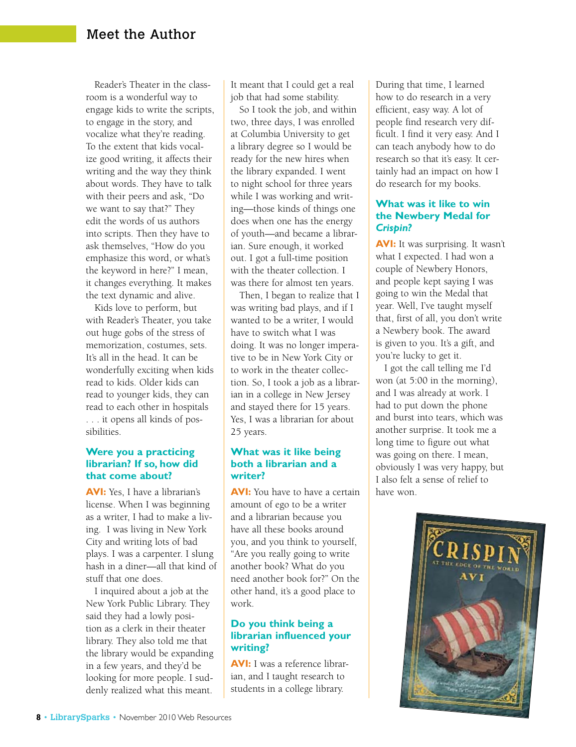Reader's Theater in the classroom is a wonderful way to engage kids to write the scripts, to engage in the story, and vocalize what they're reading. To the extent that kids vocalize good writing, it affects their writing and the way they think about words. They have to talk with their peers and ask, "Do we want to say that?" They edit the words of us authors into scripts. Then they have to ask themselves, "How do you emphasize this word, or what's the keyword in here?" I mean, it changes everything. It makes the text dynamic and alive.

Kids love to perform, but with Reader's Theater, you take out huge gobs of the stress of memorization, costumes, sets. It's all in the head. It can be wonderfully exciting when kids read to kids. Older kids can read to younger kids, they can read to each other in hospitals . . . it opens all kinds of possibilities.

#### **Were you a practicing librarian? If so, how did that come about?**

**AVI:** Yes, I have a librarian's license. When I was beginning as a writer, I had to make a living. I was living in New York City and writing lots of bad plays. I was a carpenter. I slung hash in a diner—all that kind of stuff that one does.

I inquired about a job at the New York Public Library. They said they had a lowly position as a clerk in their theater library. They also told me that the library would be expanding in a few years, and they'd be looking for more people. I suddenly realized what this meant.

It meant that I could get a real job that had some stability.

So I took the job, and within two, three days, I was enrolled at Columbia University to get a library degree so I would be ready for the new hires when the library expanded. I went to night school for three years while I was working and writing—those kinds of things one does when one has the energy of youth—and became a librarian. Sure enough, it worked out. I got a full-time position with the theater collection. I was there for almost ten years.

Then, I began to realize that I was writing bad plays, and if I wanted to be a writer, I would have to switch what I was doing. It was no longer imperative to be in New York City or to work in the theater collection. So, I took a job as a librarian in a college in New Jersey and stayed there for 15 years. Yes, I was a librarian for about 25 years.

#### **What was it like being both a librarian and a writer?**

**AVI:** You have to have a certain amount of ego to be a writer and a librarian because you have all these books around you, and you think to yourself, "Are you really going to write another book? What do you need another book for?" On the other hand, it's a good place to work.

#### **Do you think being a librarian influenced your writing?**

**AVI:** I was a reference librarian, and I taught research to students in a college library.

During that time, I learned how to do research in a very efficient, easy way. A lot of people find research very difficult. I find it very easy. And I can teach anybody how to do research so that it's easy. It certainly had an impact on how I do research for my books.

#### **What was it like to win the Newbery Medal for**  *Crispin?*

**AVI:** It was surprising. It wasn't what I expected. I had won a couple of Newbery Honors, and people kept saying I was going to win the Medal that year. Well, I've taught myself that, first of all, you don't write a Newbery book. The award is given to you. It's a gift, and you're lucky to get it.

I got the call telling me I'd won (at 5:00 in the morning), and I was already at work. I had to put down the phone and burst into tears, which was another surprise. It took me a long time to figure out what was going on there. I mean, obviously I was very happy, but I also felt a sense of relief to have won.

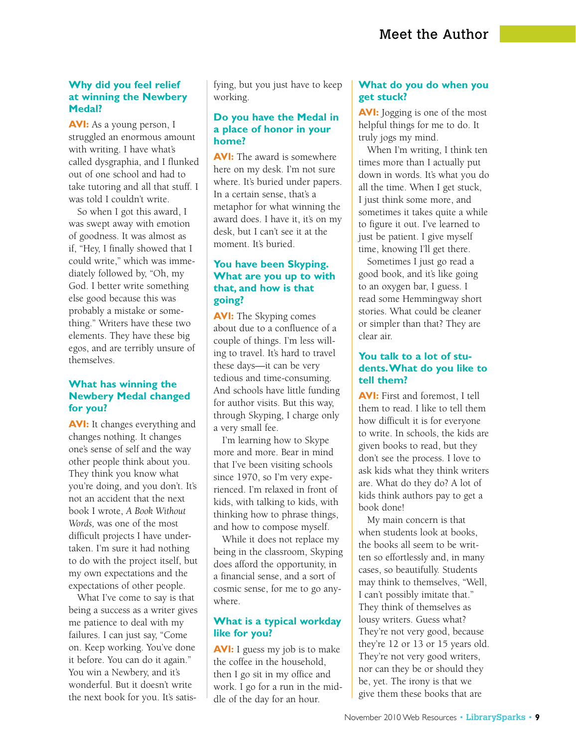#### **Why did you feel relief at winning the Newbery Medal?**

**AVI:** As a young person, I struggled an enormous amount with writing. I have what's called dysgraphia, and I flunked out of one school and had to take tutoring and all that stuff. I was told I couldn't write.

So when I got this award, I was swept away with emotion of goodness. It was almost as if, "Hey, I finally showed that I could write," which was immediately followed by, "Oh, my God. I better write something else good because this was probably a mistake or something." Writers have these two elements. They have these big egos, and are terribly unsure of themselves.

#### **What has winning the Newbery Medal changed for you?**

**AVI:** It changes everything and changes nothing. It changes one's sense of self and the way other people think about you. They think you know what you're doing, and you don't. It's not an accident that the next book I wrote, *A Book Without Words,* was one of the most difficult projects I have undertaken. I'm sure it had nothing to do with the project itself, but my own expectations and the expectations of other people.

What I've come to say is that being a success as a writer gives me patience to deal with my failures. I can just say, "Come on. Keep working. You've done it before. You can do it again." You win a Newbery, and it's wonderful. But it doesn't write the next book for you. It's satisfying, but you just have to keep working.

#### **Do you have the Medal in a place of honor in your home?**

**AVI:** The award is somewhere here on my desk. I'm not sure where. It's buried under papers. In a certain sense, that's a metaphor for what winning the award does. I have it, it's on my desk, but I can't see it at the moment. It's buried.

#### **You have been Skyping. What are you up to with that, and how is that going?**

**AVI:** The Skyping comes about due to a confluence of a couple of things. I'm less willing to travel. It's hard to travel these days—it can be very tedious and time-consuming. And schools have little funding for author visits. But this way, through Skyping, I charge only a very small fee.

I'm learning how to Skype more and more. Bear in mind that I've been visiting schools since 1970, so I'm very experienced. I'm relaxed in front of kids, with talking to kids, with thinking how to phrase things, and how to compose myself.

While it does not replace my being in the classroom, Skyping does afford the opportunity, in a financial sense, and a sort of cosmic sense, for me to go anywhere.

#### **What is a typical workday like for you?**

**AVI:** I guess my job is to make the coffee in the household, then I go sit in my office and work. I go for a run in the middle of the day for an hour.

#### **What do you do when you get stuck?**

**AVI:** Jogging is one of the most helpful things for me to do. It truly jogs my mind.

When I'm writing, I think ten times more than I actually put down in words. It's what you do all the time. When I get stuck, I just think some more, and sometimes it takes quite a while to figure it out. I've learned to just be patient. I give myself time, knowing I'll get there.

Sometimes I just go read a good book, and it's like going to an oxygen bar, I guess. I read some Hemmingway short stories. What could be cleaner or simpler than that? They are clear air.

#### **You talk to a lot of students. What do you like to tell them?**

**AVI:** First and foremost, I tell them to read. I like to tell them how difficult it is for everyone to write. In schools, the kids are given books to read, but they don't see the process. I love to ask kids what they think writers are. What do they do? A lot of kids think authors pay to get a book done!

My main concern is that when students look at books, the books all seem to be written so effortlessly and, in many cases, so beautifully. Students may think to themselves, "Well, I can't possibly imitate that." They think of themselves as lousy writers. Guess what? They're not very good, because they're 12 or 13 or 15 years old. They're not very good writers, nor can they be or should they be, yet. The irony is that we give them these books that are